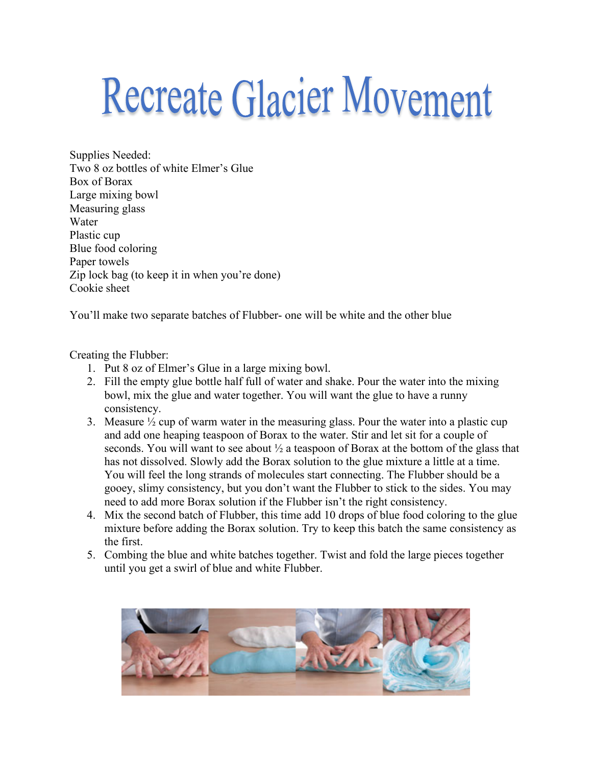## **Recreate Glacier Movement**

Supplies Needed: Two 8 oz bottles of white Elmer's Glue Box of Borax Large mixing bowl Measuring glass Water Plastic cup Blue food coloring Paper towels Zip lock bag (to keep it in when you're done) Cookie sheet

You'll make two separate batches of Flubber- one will be white and the other blue

## Creating the Flubber:

- 1. Put 8 oz of Elmer's Glue in a large mixing bowl.
- 2. Fill the empty glue bottle half full of water and shake. Pour the water into the mixing bowl, mix the glue and water together. You will want the glue to have a runny consistency.
- 3. Measure  $\frac{1}{2}$  cup of warm water in the measuring glass. Pour the water into a plastic cup and add one heaping teaspoon of Borax to the water. Stir and let sit for a couple of seconds. You will want to see about  $\frac{1}{2}$  a teaspoon of Borax at the bottom of the glass that has not dissolved. Slowly add the Borax solution to the glue mixture a little at a time. You will feel the long strands of molecules start connecting. The Flubber should be a gooey, slimy consistency, but you don't want the Flubber to stick to the sides. You may need to add more Borax solution if the Flubber isn't the right consistency.
- 4. Mix the second batch of Flubber, this time add 10 drops of blue food coloring to the glue mixture before adding the Borax solution. Try to keep this batch the same consistency as the first.
- 5. Combing the blue and white batches together. Twist and fold the large pieces together until you get a swirl of blue and white Flubber.